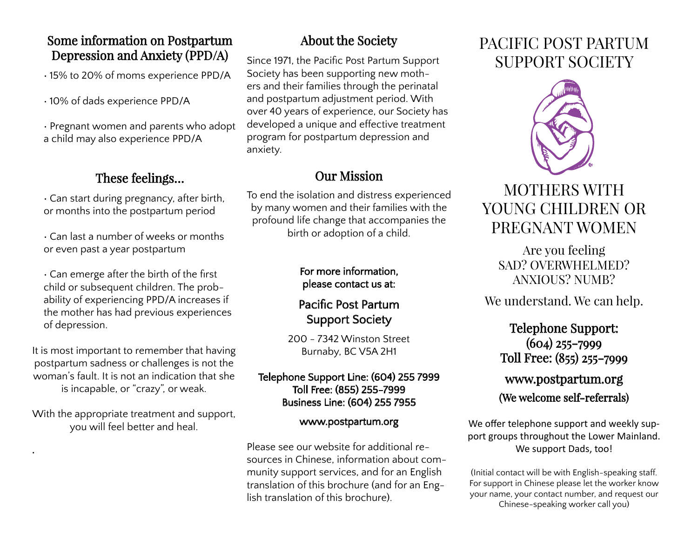### Some information on Postpartum Depression and Anxiety (PPD/A)

• 15% to 20% of moms experience PPD/A

• 10% of dads experience PPD/A

• Pregnant women and parents who adopt a child may also experience PPD/A

## These feelings…

• Can start during pregnancy, after birth, or months into the postpartum period

• Can last a number of weeks or months or even past a year postpartum

• Can emerge after the birth of the first child or subsequent children. The probability of experiencing PPD/A increases if the mother has had previous experiences of depression.

It is most important to remember that having postpartum sadness or challenges is not the woman's fault. It is not an indication that she is incapable, or "crazy", or weak.

With the appropriate treatment and support, you will feel better and heal.

•

## About the Society

Since 1971, the Pacific Post Partum Support Society has been supporting new mothers and their families through the perinatal and postpartum adjustment period. With over 40 years of experience, our Society has developed a unique and effective treatment program for postpartum depression and anxiety.

## Our Mission

To end the isolation and distress experienced by many women and their families with the profound life change that accompanies the birth or adoption of a child.

#### For more information, please contact us at:

## Pacific Post Partum Support Society

200 - 7342 Winston Street Burnaby, BC V5A 2H1

#### Telephone Support Line: (604) 255 7999 Toll Free: (855) 255-7999 Business Line: (604) 255 7955

#### www.postpartum.org

Please see our website for additional resources in Chinese, information about community support services, and for an English translation of this brochure (and for an English translation of this brochure).

# PACIFIC POST PARTUM SUPPORT SOCIETY



# MOTHERS WITH YOUNG CHILDREN OR PREGNANT WOMEN

Are you feeling SAD? OVERWHELMED? ANXIOUS? NUMB?

We understand. We can help.

Telephone Support: (604) 255-7999 Toll Free: (855) 255-7999

## www.postpartum.org (We welcome self-referrals)

We offer telephone support and weekly support groups throughout the Lower Mainland. We support Dads, too!

(Initial contact will be with English-speaking staff. For support in Chinese please let the worker know your name, your contact number, and request our Chinese-speaking worker call you)